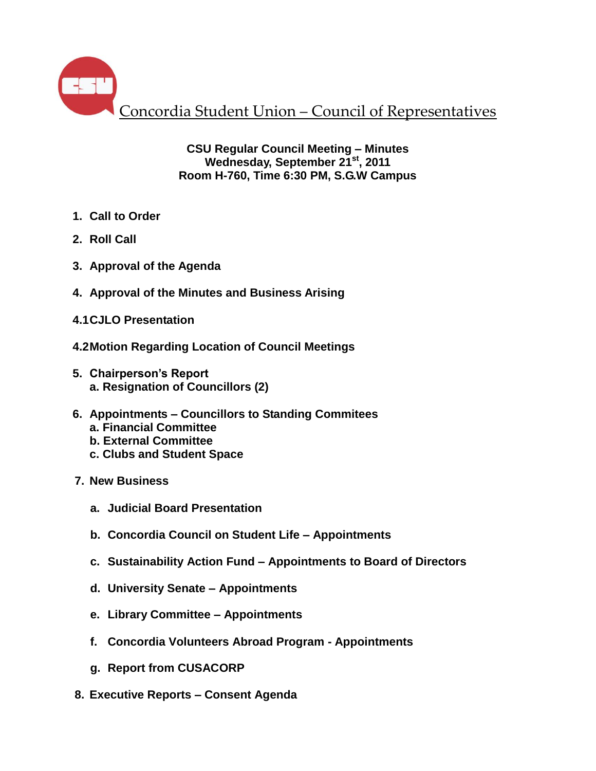Concordia Student Union – Council of Representatives

**CSU Regular Council Meeting – Minutes Wednesday, September 21st , 2011 Room H-760, Time 6:30 PM, S.G.W Campus**

- **1. Call to Order**
- **2. Roll Call**
- **3. Approval of the Agenda**
- **4. Approval of the Minutes and Business Arising**
- **4.1CJLO Presentation**
- **4.2Motion Regarding Location of Council Meetings**
- **5. Chairperson's Report a. Resignation of Councillors (2)**
- **6. Appointments – Councillors to Standing Commitees a. Financial Committee**
	- **b. External Committee**
	- **c. Clubs and Student Space**
- **7. New Business**
	- **a. Judicial Board Presentation**
	- **b. Concordia Council on Student Life – Appointments**
	- **c. Sustainability Action Fund – Appointments to Board of Directors**
	- **d. University Senate – Appointments**
	- **e. Library Committee – Appointments**
	- **f. Concordia Volunteers Abroad Program - Appointments**
	- **g. Report from CUSACORP**
- **8. Executive Reports – Consent Agenda**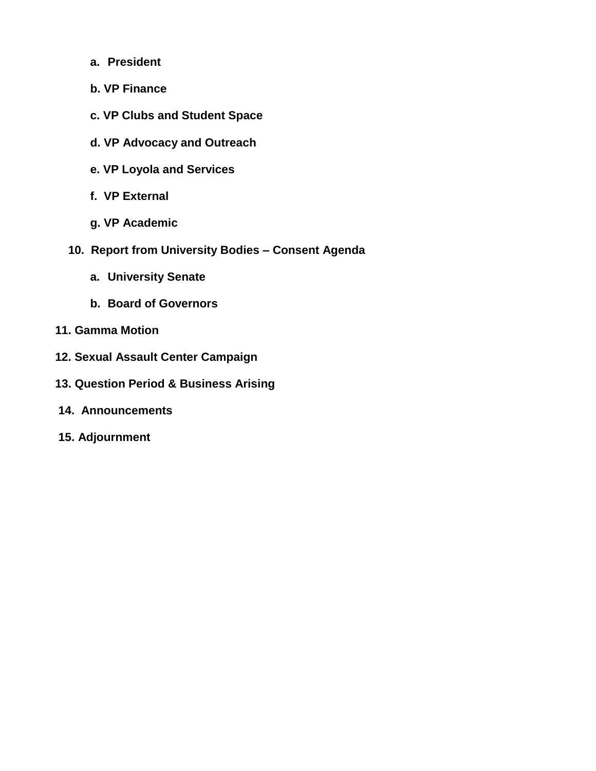- **a. President**
- **b. VP Finance**
- **c. VP Clubs and Student Space**
- **d. VP Advocacy and Outreach**
- **e. VP Loyola and Services**
- **f. VP External**
- **g. VP Academic**
- **10. Report from University Bodies – Consent Agenda**
	- **a. University Senate**
	- **b. Board of Governors**
- **11. Gamma Motion**
- **12. Sexual Assault Center Campaign**
- **13. Question Period & Business Arising**
- **14. Announcements**
- **15. Adjournment**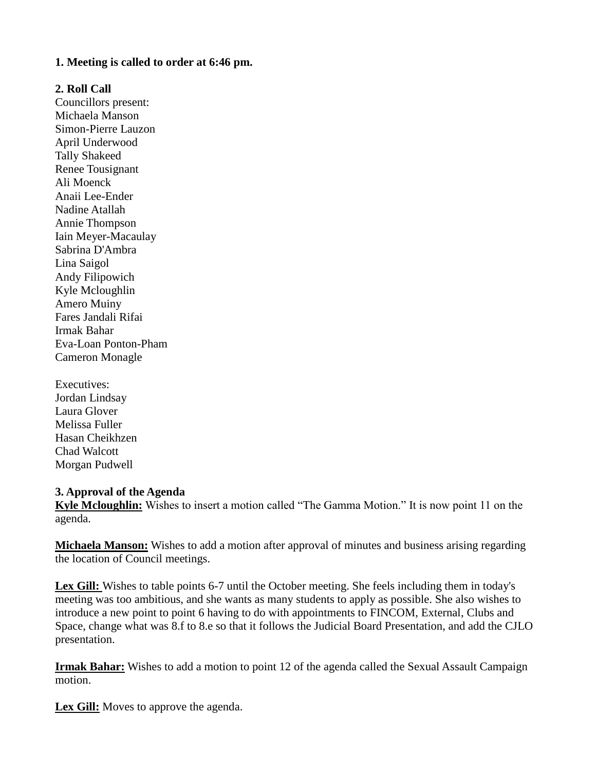#### **1. Meeting is called to order at 6:46 pm.**

#### **2. Roll Call**

Councillors present: Michaela Manson Simon-Pierre Lauzon April Underwood Tally Shakeed Renee Tousignant Ali Moenck Anaii Lee-Ender Nadine Atallah Annie Thompson Iain Meyer-Macaulay Sabrina D'Ambra Lina Saigol Andy Filipowich Kyle Mcloughlin Amero Muiny Fares Jandali Rifai Irmak Bahar Eva-Loan Ponton-Pham Cameron Monagle

Executives: Jordan Lindsay Laura Glover Melissa Fuller Hasan Cheikhzen Chad Walcott Morgan Pudwell

#### **3. Approval of the Agenda**

**Kyle Mcloughlin:** Wishes to insert a motion called "The Gamma Motion." It is now point 11 on the agenda.

**Michaela Manson:** Wishes to add a motion after approval of minutes and business arising regarding the location of Council meetings.

**Lex Gill:** Wishes to table points 6-7 until the October meeting. She feels including them in today's meeting was too ambitious, and she wants as many students to apply as possible. She also wishes to introduce a new point to point 6 having to do with appointments to FINCOM, External, Clubs and Space, change what was 8.f to 8.e so that it follows the Judicial Board Presentation, and add the CJLO presentation.

**Irmak Bahar:** Wishes to add a motion to point 12 of the agenda called the Sexual Assault Campaign motion.

**Lex Gill:** Moves to approve the agenda.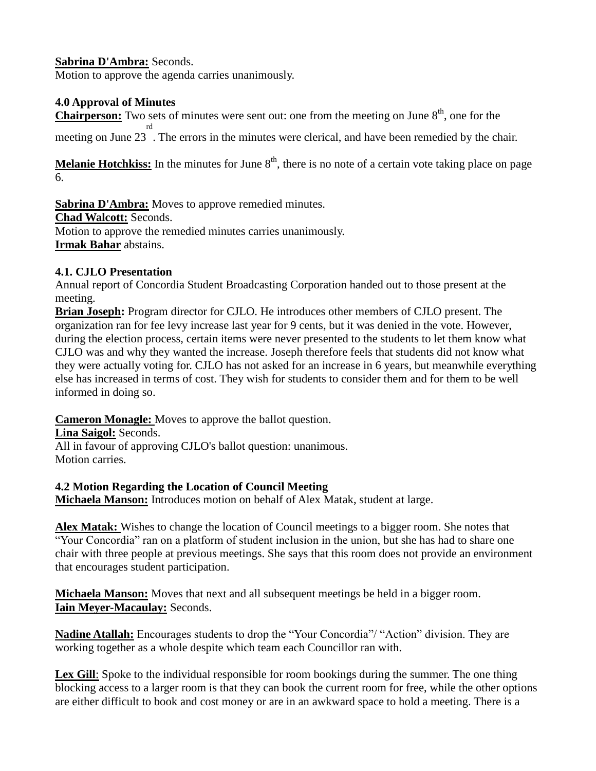## **Sabrina D'Ambra:** Seconds.

Motion to approve the agenda carries unanimously.

## **4.0 Approval of Minutes**

**Chairperson:** Two sets of minutes were sent out: one from the meeting on June 8<sup>th</sup>, one for the meeting on June 23 rd . The errors in the minutes were clerical, and have been remedied by the chair.

**Melanie Hotchkiss:** In the minutes for June  $8<sup>th</sup>$ , there is no note of a certain vote taking place on page 6.

**Sabrina D'Ambra:** Moves to approve remedied minutes. **Chad Walcott:** Seconds. Motion to approve the remedied minutes carries unanimously. **Irmak Bahar** abstains.

## **4.1. CJLO Presentation**

Annual report of Concordia Student Broadcasting Corporation handed out to those present at the meeting.

**Brian Joseph:** Program director for CJLO. He introduces other members of CJLO present. The organization ran for fee levy increase last year for 9 cents, but it was denied in the vote. However, during the election process, certain items were never presented to the students to let them know what CJLO was and why they wanted the increase. Joseph therefore feels that students did not know what they were actually voting for. CJLO has not asked for an increase in 6 years, but meanwhile everything else has increased in terms of cost. They wish for students to consider them and for them to be well informed in doing so.

**Cameron Monagle:** Moves to approve the ballot question.

**Lina Saigol:** Seconds.

All in favour of approving CJLO's ballot question: unanimous. Motion carries.

**4.2 Motion Regarding the Location of Council Meeting**

**Michaela Manson:** Introduces motion on behalf of Alex Matak, student at large.

**Alex Matak:** Wishes to change the location of Council meetings to a bigger room. She notes that "Your Concordia" ran on a platform of student inclusion in the union, but she has had to share one chair with three people at previous meetings. She says that this room does not provide an environment that encourages student participation.

**Michaela Manson:** Moves that next and all subsequent meetings be held in a bigger room. **Iain Meyer-Macaulay:** Seconds.

**Nadine Atallah:** Encourages students to drop the "Your Concordia"/ "Action" division. They are working together as a whole despite which team each Councillor ran with.

Lex Gill: Spoke to the individual responsible for room bookings during the summer. The one thing blocking access to a larger room is that they can book the current room for free, while the other options are either difficult to book and cost money or are in an awkward space to hold a meeting. There is a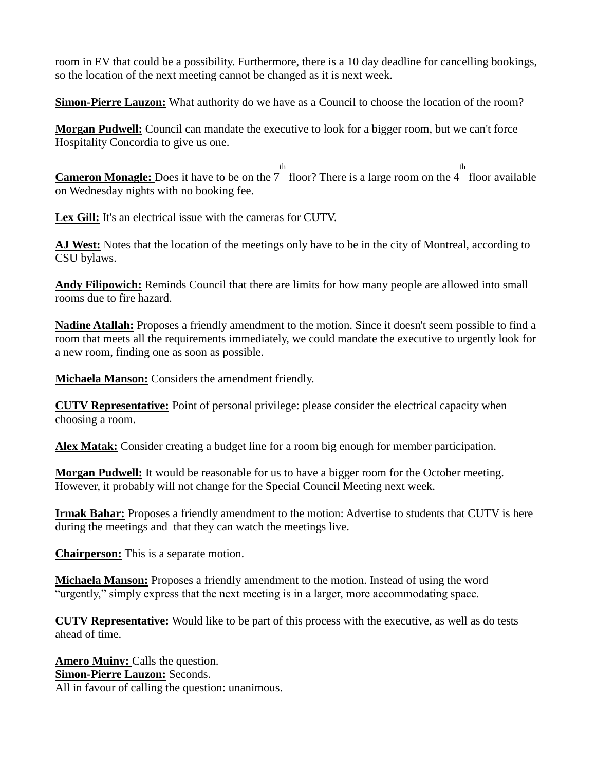room in EV that could be a possibility. Furthermore, there is a 10 day deadline for cancelling bookings, so the location of the next meeting cannot be changed as it is next week.

**Simon-Pierre Lauzon:** What authority do we have as a Council to choose the location of the room?

**Morgan Pudwell:** Council can mandate the executive to look for a bigger room, but we can't force Hospitality Concordia to give us one.

**Cameron Monagle:** Does it have to be on the 7 floor? There is a large room on the 4 th th floor available on Wednesday nights with no booking fee.

**Lex Gill:** It's an electrical issue with the cameras for CUTV.

**AJ West:** Notes that the location of the meetings only have to be in the city of Montreal, according to CSU bylaws.

**Andy Filipowich:** Reminds Council that there are limits for how many people are allowed into small rooms due to fire hazard.

**Nadine Atallah:** Proposes a friendly amendment to the motion. Since it doesn't seem possible to find a room that meets all the requirements immediately, we could mandate the executive to urgently look for a new room, finding one as soon as possible.

**Michaela Manson:** Considers the amendment friendly.

**CUTV Representative:** Point of personal privilege: please consider the electrical capacity when choosing a room.

**Alex Matak:** Consider creating a budget line for a room big enough for member participation.

**Morgan Pudwell:** It would be reasonable for us to have a bigger room for the October meeting. However, it probably will not change for the Special Council Meeting next week.

**Irmak Bahar:** Proposes a friendly amendment to the motion: Advertise to students that CUTV is here during the meetings and that they can watch the meetings live.

**Chairperson:** This is a separate motion.

**Michaela Manson:** Proposes a friendly amendment to the motion. Instead of using the word "urgently," simply express that the next meeting is in a larger, more accommodating space.

**CUTV Representative:** Would like to be part of this process with the executive, as well as do tests ahead of time.

**Amero Muiny:** Calls the question. **Simon-Pierre Lauzon:** Seconds. All in favour of calling the question: unanimous.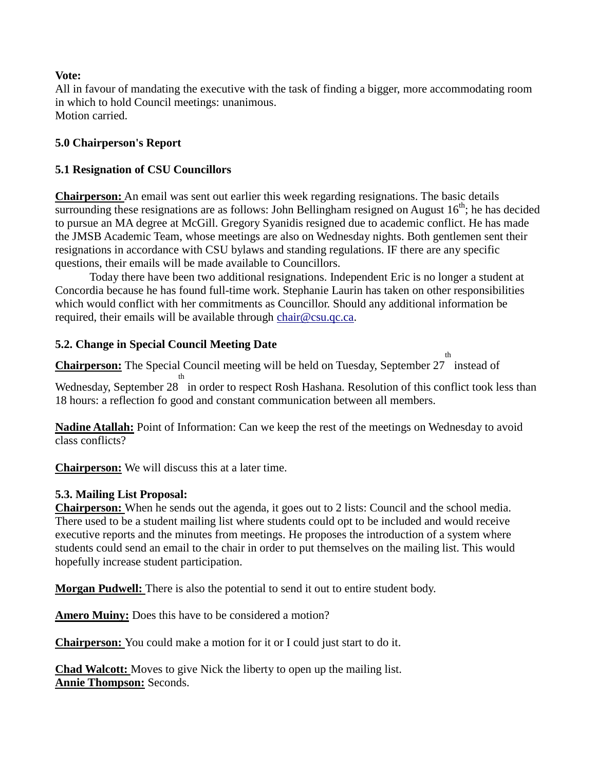#### **Vote:**

All in favour of mandating the executive with the task of finding a bigger, more accommodating room in which to hold Council meetings: unanimous. Motion carried.

#### **5.0 Chairperson's Report**

#### **5.1 Resignation of CSU Councillors**

**Chairperson:** An email was sent out earlier this week regarding resignations. The basic details surrounding these resignations are as follows: John Bellingham resigned on August  $16<sup>th</sup>$ ; he has decided to pursue an MA degree at McGill. Gregory Syanidis resigned due to academic conflict. He has made the JMSB Academic Team, whose meetings are also on Wednesday nights. Both gentlemen sent their resignations in accordance with CSU bylaws and standing regulations. IF there are any specific questions, their emails will be made available to Councillors.

Today there have been two additional resignations. Independent Eric is no longer a student at Concordia because he has found full-time work. Stephanie Laurin has taken on other responsibilities which would conflict with her commitments as Councillor. Should any additional information be required, their emails will be available through [chair@csu.qc.ca.](mailto:chair@csu.qc.ca)

#### **5.2. Change in Special Council Meeting Date**

**Chairperson:** The Special Council meeting will be held on Tuesday, September 27 instead of th

Wednesday, September 28 th in order to respect Rosh Hashana. Resolution of this conflict took less than 18 hours: a reflection fo good and constant communication between all members.

**Nadine Atallah:** Point of Information: Can we keep the rest of the meetings on Wednesday to avoid class conflicts?

**Chairperson:** We will discuss this at a later time.

#### **5.3. Mailing List Proposal:**

**Chairperson:** When he sends out the agenda, it goes out to 2 lists: Council and the school media. There used to be a student mailing list where students could opt to be included and would receive executive reports and the minutes from meetings. He proposes the introduction of a system where students could send an email to the chair in order to put themselves on the mailing list. This would hopefully increase student participation.

**Morgan Pudwell:** There is also the potential to send it out to entire student body.

**Amero Muiny:** Does this have to be considered a motion?

**Chairperson:** You could make a motion for it or I could just start to do it.

**Chad Walcott:** Moves to give Nick the liberty to open up the mailing list. **Annie Thompson:** Seconds.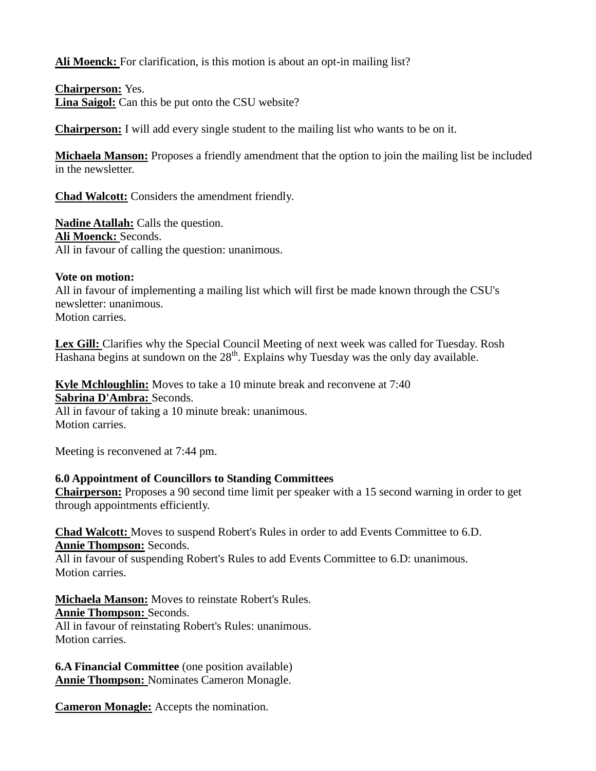Ali Moenck: For clarification, is this motion is about an opt-in mailing list?

**Chairperson:** Yes. **Lina Saigol:** Can this be put onto the CSU website?

**Chairperson:** I will add every single student to the mailing list who wants to be on it.

**Michaela Manson:** Proposes a friendly amendment that the option to join the mailing list be included in the newsletter.

**Chad Walcott:** Considers the amendment friendly.

**Nadine Atallah:** Calls the question. **Ali Moenck:** Seconds. All in favour of calling the question: unanimous.

#### **Vote on motion:**

All in favour of implementing a mailing list which will first be made known through the CSU's newsletter: unanimous. Motion carries.

**Lex Gill:** Clarifies why the Special Council Meeting of next week was called for Tuesday. Rosh Hashana begins at sundown on the  $28<sup>th</sup>$ . Explains why Tuesday was the only day available.

**Kyle Mchloughlin:** Moves to take a 10 minute break and reconvene at 7:40 **Sabrina D'Ambra:** Seconds. All in favour of taking a 10 minute break: unanimous.

Motion carries.

Meeting is reconvened at 7:44 pm.

## **6.0 Appointment of Councillors to Standing Committees**

**Chairperson:** Proposes a 90 second time limit per speaker with a 15 second warning in order to get through appointments efficiently.

**Chad Walcott:** Moves to suspend Robert's Rules in order to add Events Committee to 6.D. **Annie Thompson:** Seconds.

All in favour of suspending Robert's Rules to add Events Committee to 6.D: unanimous. Motion carries.

**Michaela Manson:** Moves to reinstate Robert's Rules. **Annie Thompson:** Seconds.

All in favour of reinstating Robert's Rules: unanimous. Motion carries.

**6.A Financial Committee** (one position available) **Annie Thompson:** Nominates Cameron Monagle.

**Cameron Monagle:** Accepts the nomination.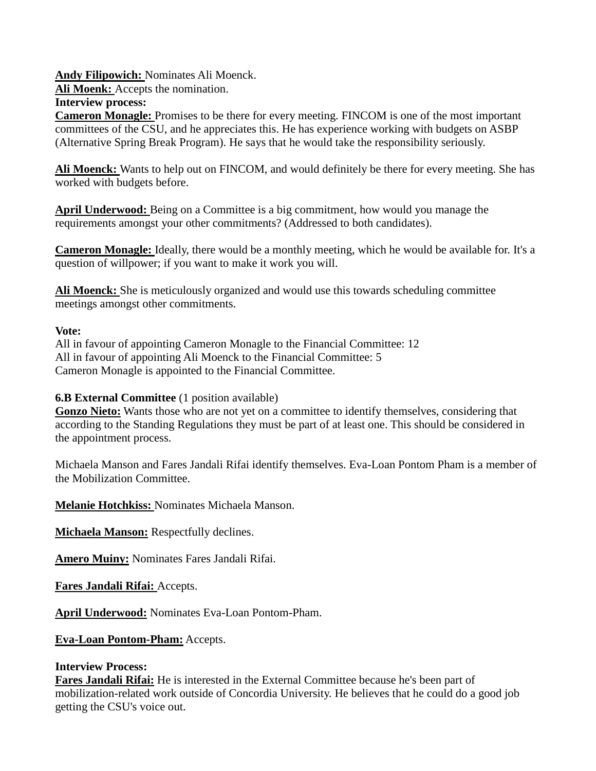**Andy Filipowich:** Nominates Ali Moenck.

**Ali Moenk:** Accepts the nomination.

#### **Interview process:**

**Cameron Monagle:** Promises to be there for every meeting. FINCOM is one of the most important committees of the CSU, and he appreciates this. He has experience working with budgets on ASBP (Alternative Spring Break Program). He says that he would take the responsibility seriously.

**Ali Moenck:** Wants to help out on FINCOM, and would definitely be there for every meeting. She has worked with budgets before.

**April Underwood:** Being on a Committee is a big commitment, how would you manage the requirements amongst your other commitments? (Addressed to both candidates).

**Cameron Monagle:** Ideally, there would be a monthly meeting, which he would be available for. It's a question of willpower; if you want to make it work you will.

**Ali Moenck:** She is meticulously organized and would use this towards scheduling committee meetings amongst other commitments.

## **Vote:**

All in favour of appointing Cameron Monagle to the Financial Committee: 12 All in favour of appointing Ali Moenck to the Financial Committee: 5 Cameron Monagle is appointed to the Financial Committee.

## **6.B External Committee** (1 position available)

**Gonzo Nieto:** Wants those who are not yet on a committee to identify themselves, considering that according to the Standing Regulations they must be part of at least one. This should be considered in the appointment process.

Michaela Manson and Fares Jandali Rifai identify themselves. Eva-Loan Pontom Pham is a member of the Mobilization Committee.

**Melanie Hotchkiss:** Nominates Michaela Manson.

**Michaela Manson:** Respectfully declines.

**Amero Muiny:** Nominates Fares Jandali Rifai.

**Fares Jandali Rifai:** Accepts.

**April Underwood:** Nominates Eva-Loan Pontom-Pham.

**Eva-Loan Pontom-Pham:** Accepts.

## **Interview Process:**

**Fares Jandali Rifai:** He is interested in the External Committee because he's been part of mobilization-related work outside of Concordia University. He believes that he could do a good job getting the CSU's voice out.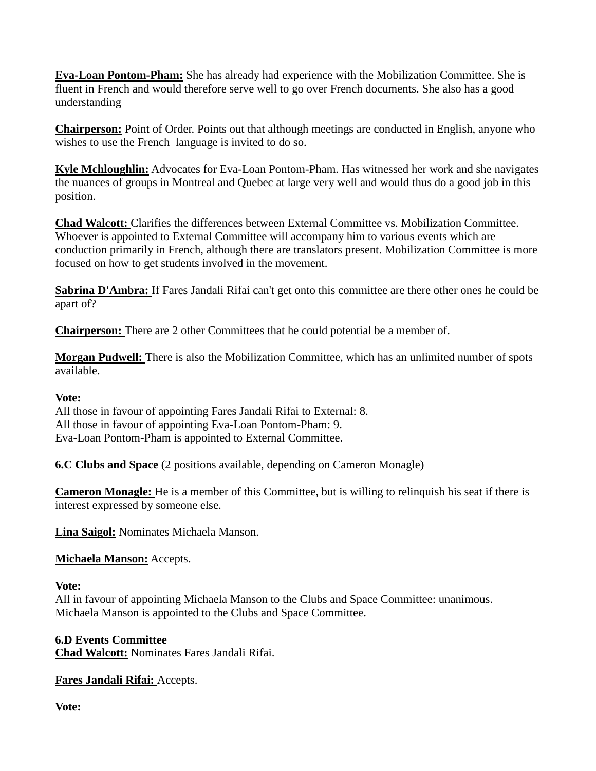**Eva-Loan Pontom-Pham:** She has already had experience with the Mobilization Committee. She is fluent in French and would therefore serve well to go over French documents. She also has a good understanding

**Chairperson:** Point of Order. Points out that although meetings are conducted in English, anyone who wishes to use the French language is invited to do so.

**Kyle Mchloughlin:** Advocates for Eva-Loan Pontom-Pham. Has witnessed her work and she navigates the nuances of groups in Montreal and Quebec at large very well and would thus do a good job in this position.

**Chad Walcott:** Clarifies the differences between External Committee vs. Mobilization Committee. Whoever is appointed to External Committee will accompany him to various events which are conduction primarily in French, although there are translators present. Mobilization Committee is more focused on how to get students involved in the movement.

**Sabrina D'Ambra:** If Fares Jandali Rifai can't get onto this committee are there other ones he could be apart of?

**Chairperson:** There are 2 other Committees that he could potential be a member of.

**Morgan Pudwell:** There is also the Mobilization Committee, which has an unlimited number of spots available.

#### **Vote:**

All those in favour of appointing Fares Jandali Rifai to External: 8. All those in favour of appointing Eva-Loan Pontom-Pham: 9. Eva-Loan Pontom-Pham is appointed to External Committee.

**6.C Clubs and Space** (2 positions available, depending on Cameron Monagle)

**Cameron Monagle:** He is a member of this Committee, but is willing to relinquish his seat if there is interest expressed by someone else.

**Lina Saigol:** Nominates Michaela Manson.

## **Michaela Manson:** Accepts.

## **Vote:**

All in favour of appointing Michaela Manson to the Clubs and Space Committee: unanimous. Michaela Manson is appointed to the Clubs and Space Committee.

## **6.D Events Committee**

**Chad Walcott:** Nominates Fares Jandali Rifai.

**Fares Jandali Rifai:** Accepts.

**Vote:**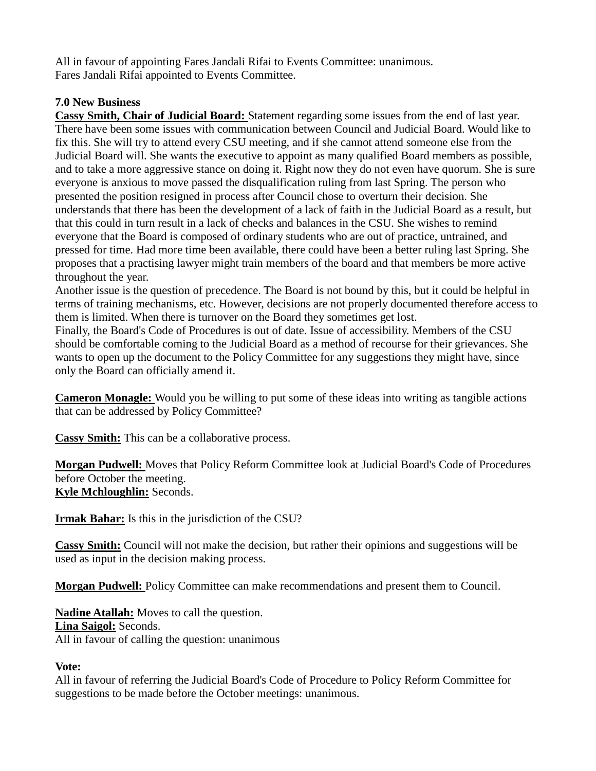All in favour of appointing Fares Jandali Rifai to Events Committee: unanimous. Fares Jandali Rifai appointed to Events Committee.

## **7.0 New Business**

**Cassy Smith, Chair of Judicial Board:** Statement regarding some issues from the end of last year. There have been some issues with communication between Council and Judicial Board. Would like to fix this. She will try to attend every CSU meeting, and if she cannot attend someone else from the Judicial Board will. She wants the executive to appoint as many qualified Board members as possible, and to take a more aggressive stance on doing it. Right now they do not even have quorum. She is sure everyone is anxious to move passed the disqualification ruling from last Spring. The person who presented the position resigned in process after Council chose to overturn their decision. She understands that there has been the development of a lack of faith in the Judicial Board as a result, but that this could in turn result in a lack of checks and balances in the CSU. She wishes to remind everyone that the Board is composed of ordinary students who are out of practice, untrained, and pressed for time. Had more time been available, there could have been a better ruling last Spring. She proposes that a practising lawyer might train members of the board and that members be more active throughout the year.

Another issue is the question of precedence. The Board is not bound by this, but it could be helpful in terms of training mechanisms, etc. However, decisions are not properly documented therefore access to them is limited. When there is turnover on the Board they sometimes get lost.

Finally, the Board's Code of Procedures is out of date. Issue of accessibility. Members of the CSU should be comfortable coming to the Judicial Board as a method of recourse for their grievances. She wants to open up the document to the Policy Committee for any suggestions they might have, since only the Board can officially amend it.

**Cameron Monagle:** Would you be willing to put some of these ideas into writing as tangible actions that can be addressed by Policy Committee?

**Cassy Smith:** This can be a collaborative process.

**Morgan Pudwell:** Moves that Policy Reform Committee look at Judicial Board's Code of Procedures before October the meeting. **Kyle Mchloughlin:** Seconds.

**Irmak Bahar:** Is this in the jurisdiction of the CSU?

**Cassy Smith:** Council will not make the decision, but rather their opinions and suggestions will be used as input in the decision making process.

**Morgan Pudwell:** Policy Committee can make recommendations and present them to Council.

**Nadine Atallah:** Moves to call the question. **Lina Saigol:** Seconds. All in favour of calling the question: unanimous

## **Vote:**

All in favour of referring the Judicial Board's Code of Procedure to Policy Reform Committee for suggestions to be made before the October meetings: unanimous.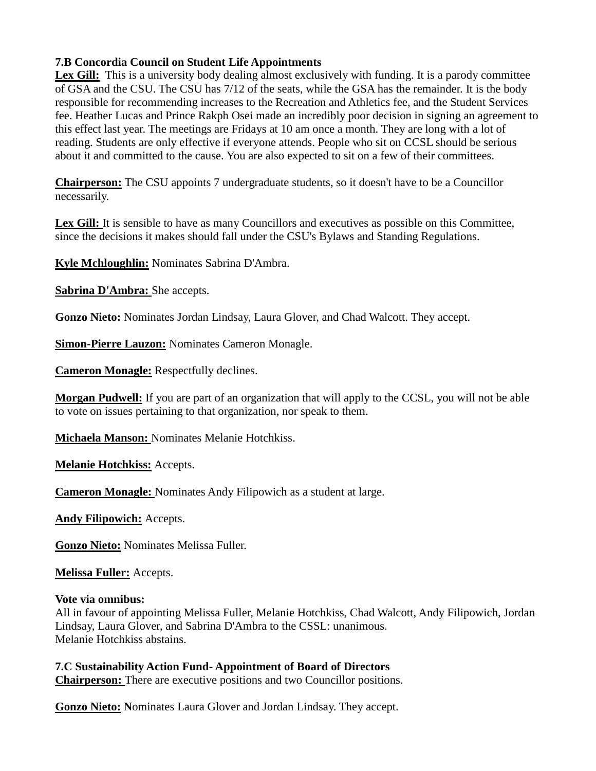## **7.B Concordia Council on Student Life Appointments**

Lex Gill: This is a university body dealing almost exclusively with funding. It is a parody committee of GSA and the CSU. The CSU has 7/12 of the seats, while the GSA has the remainder. It is the body responsible for recommending increases to the Recreation and Athletics fee, and the Student Services fee. Heather Lucas and Prince Rakph Osei made an incredibly poor decision in signing an agreement to this effect last year. The meetings are Fridays at 10 am once a month. They are long with a lot of reading. Students are only effective if everyone attends. People who sit on CCSL should be serious about it and committed to the cause. You are also expected to sit on a few of their committees.

**Chairperson:** The CSU appoints 7 undergraduate students, so it doesn't have to be a Councillor necessarily.

Lex Gill: It is sensible to have as many Councillors and executives as possible on this Committee, since the decisions it makes should fall under the CSU's Bylaws and Standing Regulations.

**Kyle Mchloughlin:** Nominates Sabrina D'Ambra.

**Sabrina D'Ambra:** She accepts.

**Gonzo Nieto:** Nominates Jordan Lindsay, Laura Glover, and Chad Walcott. They accept.

**Simon-Pierre Lauzon:** Nominates Cameron Monagle.

**Cameron Monagle:** Respectfully declines.

**Morgan Pudwell:** If you are part of an organization that will apply to the CCSL, you will not be able to vote on issues pertaining to that organization, nor speak to them.

**Michaela Manson:** Nominates Melanie Hotchkiss.

**Melanie Hotchkiss:** Accepts.

**Cameron Monagle:** Nominates Andy Filipowich as a student at large.

**Andy Filipowich:** Accepts.

**Gonzo Nieto:** Nominates Melissa Fuller.

**Melissa Fuller:** Accepts.

#### **Vote via omnibus:**

All in favour of appointing Melissa Fuller, Melanie Hotchkiss, Chad Walcott, Andy Filipowich, Jordan Lindsay, Laura Glover, and Sabrina D'Ambra to the CSSL: unanimous. Melanie Hotchkiss abstains.

**7.C Sustainability Action Fund- Appointment of Board of Directors Chairperson:** There are executive positions and two Councillor positions.

**Gonzo Nieto: N**ominates Laura Glover and Jordan Lindsay. They accept.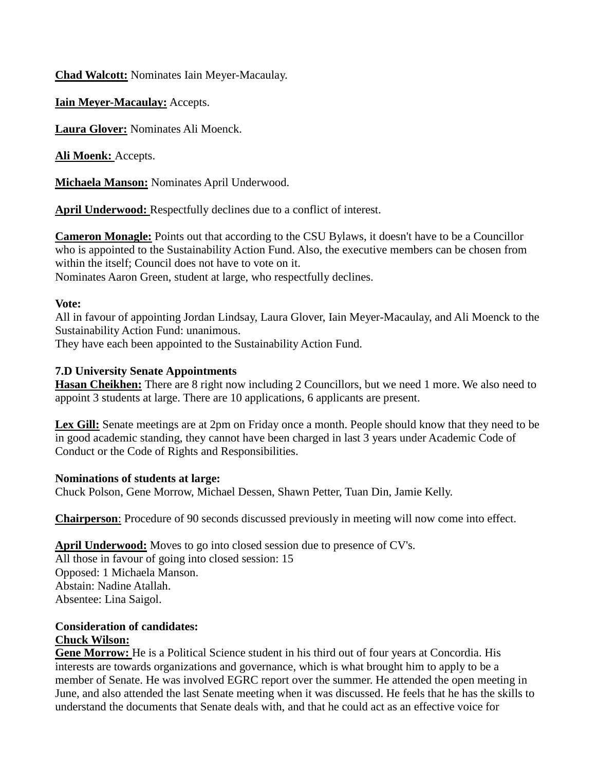**Chad Walcott:** Nominates Iain Meyer-Macaulay.

**Iain Meyer-Macaulay:** Accepts.

**Laura Glover:** Nominates Ali Moenck.

**Ali Moenk:** Accepts.

**Michaela Manson:** Nominates April Underwood.

**April Underwood:** Respectfully declines due to a conflict of interest.

**Cameron Monagle:** Points out that according to the CSU Bylaws, it doesn't have to be a Councillor who is appointed to the Sustainability Action Fund. Also, the executive members can be chosen from within the itself; Council does not have to vote on it. Nominates Aaron Green, student at large, who respectfully declines.

# **Vote:**

All in favour of appointing Jordan Lindsay, Laura Glover, Iain Meyer-Macaulay, and Ali Moenck to the Sustainability Action Fund: unanimous.

They have each been appointed to the Sustainability Action Fund.

## **7.D University Senate Appointments**

**Hasan Cheikhen:** There are 8 right now including 2 Councillors, but we need 1 more. We also need to appoint 3 students at large. There are 10 applications, 6 applicants are present.

**Lex Gill:** Senate meetings are at 2pm on Friday once a month. People should know that they need to be in good academic standing, they cannot have been charged in last 3 years under Academic Code of Conduct or the Code of Rights and Responsibilities.

## **Nominations of students at large:**

Chuck Polson, Gene Morrow, Michael Dessen, Shawn Petter, Tuan Din, Jamie Kelly.

**Chairperson**: Procedure of 90 seconds discussed previously in meeting will now come into effect.

## **April Underwood:** Moves to go into closed session due to presence of CV's.

All those in favour of going into closed session: 15 Opposed: 1 Michaela Manson. Abstain: Nadine Atallah. Absentee: Lina Saigol.

# **Consideration of candidates: Chuck Wilson:**

**Gene Morrow:** He is a Political Science student in his third out of four years at Concordia. His interests are towards organizations and governance, which is what brought him to apply to be a member of Senate. He was involved EGRC report over the summer. He attended the open meeting in June, and also attended the last Senate meeting when it was discussed. He feels that he has the skills to understand the documents that Senate deals with, and that he could act as an effective voice for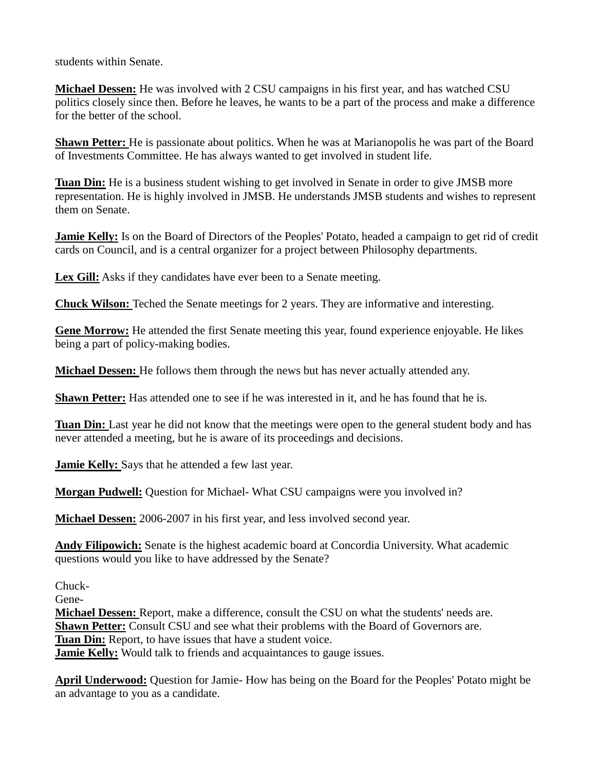students within Senate.

**Michael Dessen:** He was involved with 2 CSU campaigns in his first year, and has watched CSU politics closely since then. Before he leaves, he wants to be a part of the process and make a difference for the better of the school.

**Shawn Petter:** He is passionate about politics. When he was at Marianopolis he was part of the Board of Investments Committee. He has always wanted to get involved in student life.

**Tuan Din:** He is a business student wishing to get involved in Senate in order to give JMSB more representation. He is highly involved in JMSB. He understands JMSB students and wishes to represent them on Senate.

**Jamie Kelly:** Is on the Board of Directors of the Peoples' Potato, headed a campaign to get rid of credit cards on Council, and is a central organizer for a project between Philosophy departments.

Lex Gill: Asks if they candidates have ever been to a Senate meeting.

**Chuck Wilson:** Teched the Senate meetings for 2 years. They are informative and interesting.

**Gene Morrow:** He attended the first Senate meeting this year, found experience enjoyable. He likes being a part of policy-making bodies.

**Michael Dessen:** He follows them through the news but has never actually attended any.

**Shawn Petter:** Has attended one to see if he was interested in it, and he has found that he is.

**Tuan Din:** Last year he did not know that the meetings were open to the general student body and has never attended a meeting, but he is aware of its proceedings and decisions.

**Jamie Kelly:** Says that he attended a few last year.

**Morgan Pudwell:** Question for Michael- What CSU campaigns were you involved in?

**Michael Dessen:** 2006-2007 in his first year, and less involved second year.

**Andy Filipowich:** Senate is the highest academic board at Concordia University. What academic questions would you like to have addressed by the Senate?

Chuck-

Gene-

**Michael Dessen:** Report, make a difference, consult the CSU on what the students' needs are. **Shawn Petter:** Consult CSU and see what their problems with the Board of Governors are. **Tuan Din:** Report, to have issues that have a student voice. **Jamie Kelly:** Would talk to friends and acquaintances to gauge issues.

**April Underwood:** Question for Jamie- How has being on the Board for the Peoples' Potato might be an advantage to you as a candidate.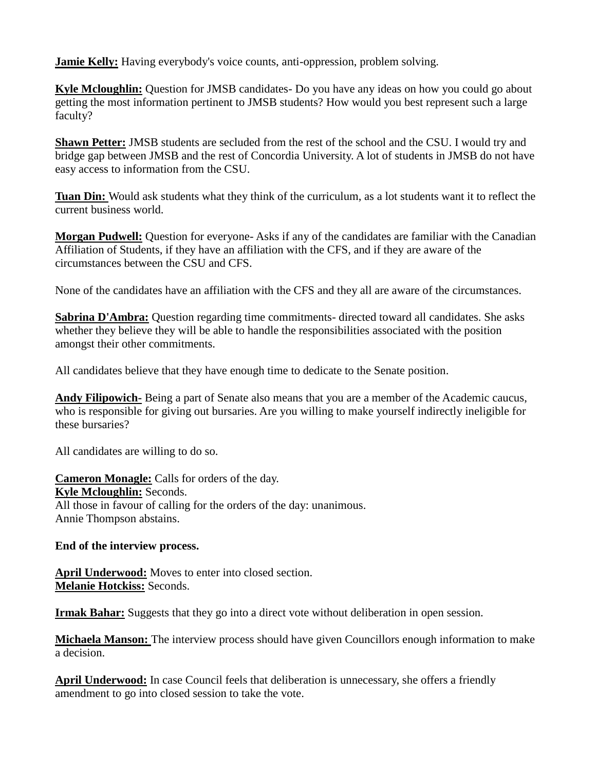**Jamie Kelly:** Having everybody's voice counts, anti-oppression, problem solving.

**Kyle Mcloughlin:** Question for JMSB candidates- Do you have any ideas on how you could go about getting the most information pertinent to JMSB students? How would you best represent such a large faculty?

**Shawn Petter:** JMSB students are secluded from the rest of the school and the CSU. I would try and bridge gap between JMSB and the rest of Concordia University. A lot of students in JMSB do not have easy access to information from the CSU.

**Tuan Din:** Would ask students what they think of the curriculum, as a lot students want it to reflect the current business world.

**Morgan Pudwell:** Question for everyone- Asks if any of the candidates are familiar with the Canadian Affiliation of Students, if they have an affiliation with the CFS, and if they are aware of the circumstances between the CSU and CFS.

None of the candidates have an affiliation with the CFS and they all are aware of the circumstances.

**Sabrina D'Ambra:** Question regarding time commitments- directed toward all candidates. She asks whether they believe they will be able to handle the responsibilities associated with the position amongst their other commitments.

All candidates believe that they have enough time to dedicate to the Senate position.

**Andy Filipowich-** Being a part of Senate also means that you are a member of the Academic caucus, who is responsible for giving out bursaries. Are you willing to make yourself indirectly ineligible for these bursaries?

All candidates are willing to do so.

**Cameron Monagle:** Calls for orders of the day. **Kyle Mcloughlin:** Seconds. All those in favour of calling for the orders of the day: unanimous. Annie Thompson abstains.

## **End of the interview process.**

**April Underwood:** Moves to enter into closed section. **Melanie Hotckiss:** Seconds.

**Irmak Bahar:** Suggests that they go into a direct vote without deliberation in open session.

**Michaela Manson:** The interview process should have given Councillors enough information to make a decision.

**April Underwood:** In case Council feels that deliberation is unnecessary, she offers a friendly amendment to go into closed session to take the vote.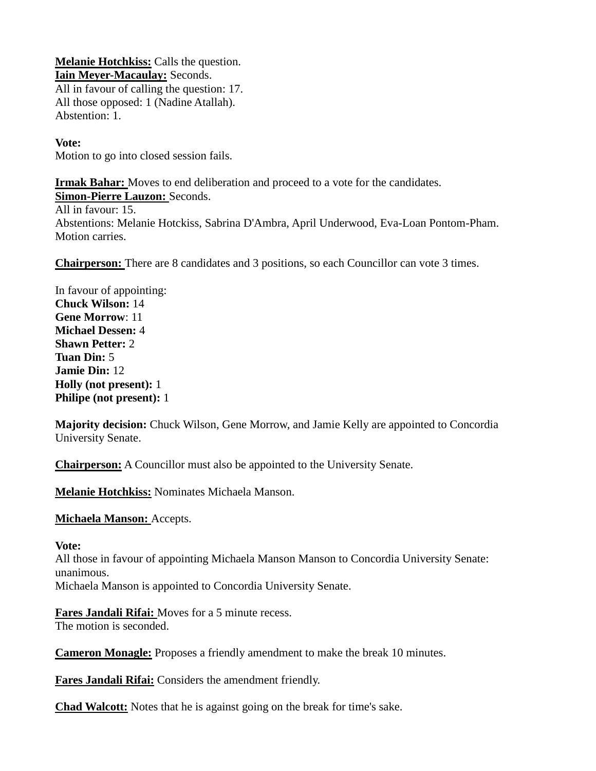**Melanie Hotchkiss:** Calls the question. **Iain Meyer-Macaulay:** Seconds. All in favour of calling the question: 17. All those opposed: 1 (Nadine Atallah). Abstention: 1.

#### **Vote:**

Motion to go into closed session fails.

**Irmak Bahar:** Moves to end deliberation and proceed to a vote for the candidates.

**Simon-Pierre Lauzon:** Seconds. All in favour: 15. Abstentions: Melanie Hotckiss, Sabrina D'Ambra, April Underwood, Eva-Loan Pontom-Pham. Motion carries.

**Chairperson:** There are 8 candidates and 3 positions, so each Councillor can vote 3 times.

In favour of appointing: **Chuck Wilson:** 14 **Gene Morrow**: 11 **Michael Dessen:** 4 **Shawn Petter:** 2 **Tuan Din:** 5 **Jamie Din:** 12 **Holly (not present):** 1 **Philipe (not present):** 1

**Majority decision:** Chuck Wilson, Gene Morrow, and Jamie Kelly are appointed to Concordia University Senate.

**Chairperson:** A Councillor must also be appointed to the University Senate.

**Melanie Hotchkiss:** Nominates Michaela Manson.

**Michaela Manson:** Accepts.

#### **Vote:**

All those in favour of appointing Michaela Manson Manson to Concordia University Senate: unanimous. Michaela Manson is appointed to Concordia University Senate.

**Fares Jandali Rifai:** Moves for a 5 minute recess.

The motion is seconded.

**Cameron Monagle:** Proposes a friendly amendment to make the break 10 minutes.

**Fares Jandali Rifai:** Considers the amendment friendly.

**Chad Walcott:** Notes that he is against going on the break for time's sake.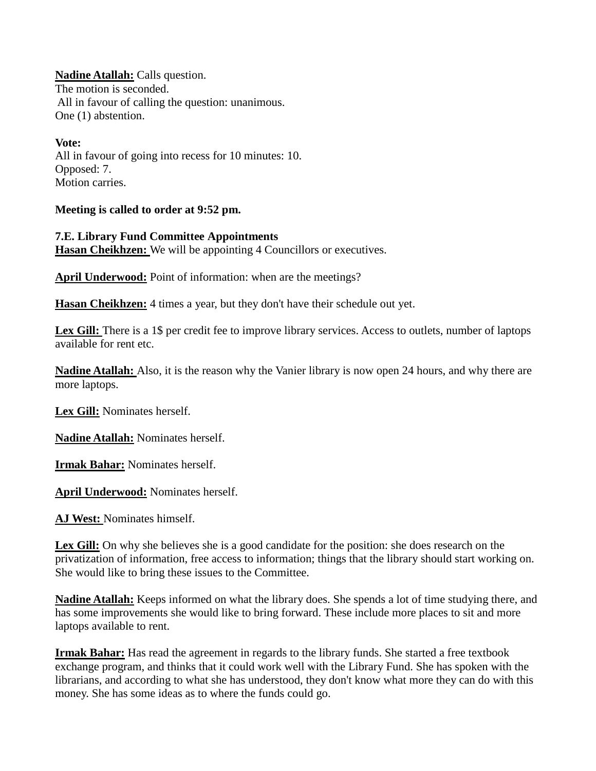**Nadine Atallah:** Calls question. The motion is seconded. All in favour of calling the question: unanimous. One (1) abstention.

**Vote:** All in favour of going into recess for 10 minutes: 10. Opposed: 7. Motion carries.

**Meeting is called to order at 9:52 pm.**

**7.E. Library Fund Committee Appointments Hasan Cheikhzen:** We will be appointing 4 Councillors or executives.

**April Underwood:** Point of information: when are the meetings?

**Hasan Cheikhzen:** 4 times a year, but they don't have their schedule out yet.

Lex Gill: There is a 1\$ per credit fee to improve library services. Access to outlets, number of laptops available for rent etc.

**Nadine Atallah:** Also, it is the reason why the Vanier library is now open 24 hours, and why there are more laptops.

**Lex Gill:** Nominates herself.

**Nadine Atallah:** Nominates herself.

**Irmak Bahar:** Nominates herself.

**April Underwood:** Nominates herself.

**AJ West:** Nominates himself.

Lex Gill: On why she believes she is a good candidate for the position: she does research on the privatization of information, free access to information; things that the library should start working on. She would like to bring these issues to the Committee.

**Nadine Atallah:** Keeps informed on what the library does. She spends a lot of time studying there, and has some improvements she would like to bring forward. These include more places to sit and more laptops available to rent.

**Irmak Bahar:** Has read the agreement in regards to the library funds. She started a free textbook exchange program, and thinks that it could work well with the Library Fund. She has spoken with the librarians, and according to what she has understood, they don't know what more they can do with this money. She has some ideas as to where the funds could go.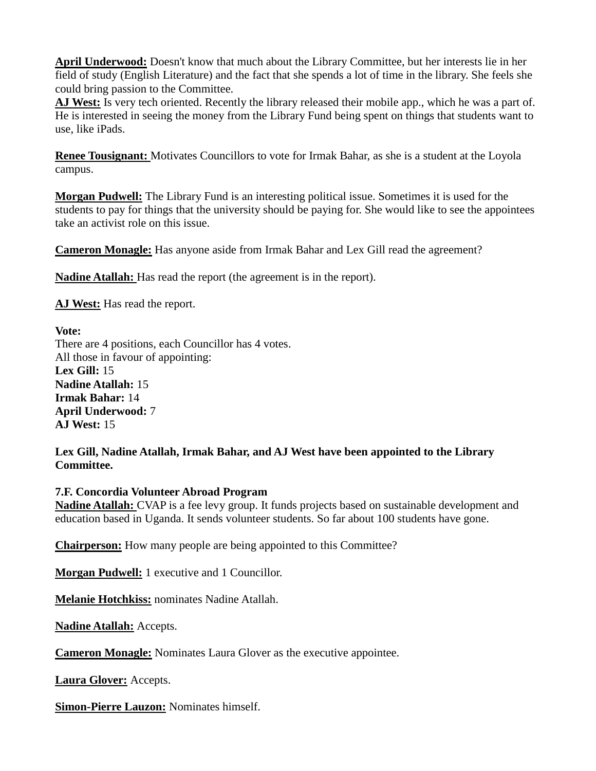**April Underwood:** Doesn't know that much about the Library Committee, but her interests lie in her field of study (English Literature) and the fact that she spends a lot of time in the library. She feels she could bring passion to the Committee.

**AJ West:** Is very tech oriented. Recently the library released their mobile app., which he was a part of. He is interested in seeing the money from the Library Fund being spent on things that students want to use, like iPads.

**Renee Tousignant:** Motivates Councillors to vote for Irmak Bahar, as she is a student at the Loyola campus.

**Morgan Pudwell:** The Library Fund is an interesting political issue. Sometimes it is used for the students to pay for things that the university should be paying for. She would like to see the appointees take an activist role on this issue.

**Cameron Monagle:** Has anyone aside from Irmak Bahar and Lex Gill read the agreement?

**Nadine Atallah:** Has read the report (the agreement is in the report).

**AJ West:** Has read the report.

**Vote:** There are 4 positions, each Councillor has 4 votes. All those in favour of appointing: **Lex Gill:** 15 **Nadine Atallah:** 15 **Irmak Bahar:** 14 **April Underwood:** 7 **AJ West:** 15

**Lex Gill, Nadine Atallah, Irmak Bahar, and AJ West have been appointed to the Library Committee.**

#### **7.F. Concordia Volunteer Abroad Program**

**Nadine Atallah:** CVAP is a fee levy group. It funds projects based on sustainable development and education based in Uganda. It sends volunteer students. So far about 100 students have gone.

**Chairperson:** How many people are being appointed to this Committee?

**Morgan Pudwell:** 1 executive and 1 Councillor.

**Melanie Hotchkiss:** nominates Nadine Atallah.

**Nadine Atallah:** Accepts.

**Cameron Monagle:** Nominates Laura Glover as the executive appointee.

**Laura Glover:** Accepts.

**Simon-Pierre Lauzon:** Nominates himself.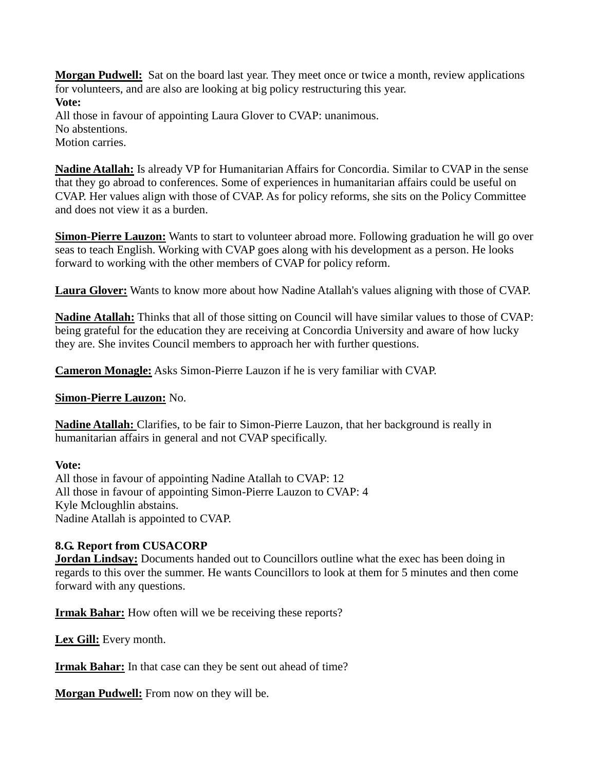**Morgan Pudwell:** Sat on the board last year. They meet once or twice a month, review applications for volunteers, and are also are looking at big policy restructuring this year. **Vote:** All those in favour of appointing Laura Glover to CVAP: unanimous. No abstentions. Motion carries.

**Nadine Atallah:** Is already VP for Humanitarian Affairs for Concordia. Similar to CVAP in the sense that they go abroad to conferences. Some of experiences in humanitarian affairs could be useful on CVAP. Her values align with those of CVAP. As for policy reforms, she sits on the Policy Committee and does not view it as a burden.

**Simon-Pierre Lauzon:** Wants to start to volunteer abroad more. Following graduation he will go over seas to teach English. Working with CVAP goes along with his development as a person. He looks forward to working with the other members of CVAP for policy reform.

**Laura Glover:** Wants to know more about how Nadine Atallah's values aligning with those of CVAP.

**Nadine Atallah:** Thinks that all of those sitting on Council will have similar values to those of CVAP: being grateful for the education they are receiving at Concordia University and aware of how lucky they are. She invites Council members to approach her with further questions.

**Cameron Monagle:** Asks Simon-Pierre Lauzon if he is very familiar with CVAP.

#### **Simon-Pierre Lauzon:** No.

**Nadine Atallah:** Clarifies, to be fair to Simon-Pierre Lauzon, that her background is really in humanitarian affairs in general and not CVAP specifically.

## **Vote:**

All those in favour of appointing Nadine Atallah to CVAP: 12 All those in favour of appointing Simon-Pierre Lauzon to CVAP: 4 Kyle Mcloughlin abstains. Nadine Atallah is appointed to CVAP.

## **8.G. Report from CUSACORP**

**Jordan Lindsay:** Documents handed out to Councillors outline what the exec has been doing in regards to this over the summer. He wants Councillors to look at them for 5 minutes and then come forward with any questions.

**Irmak Bahar:** How often will we be receiving these reports?

**Lex Gill:** Every month.

**Irmak Bahar:** In that case can they be sent out ahead of time?

**Morgan Pudwell:** From now on they will be.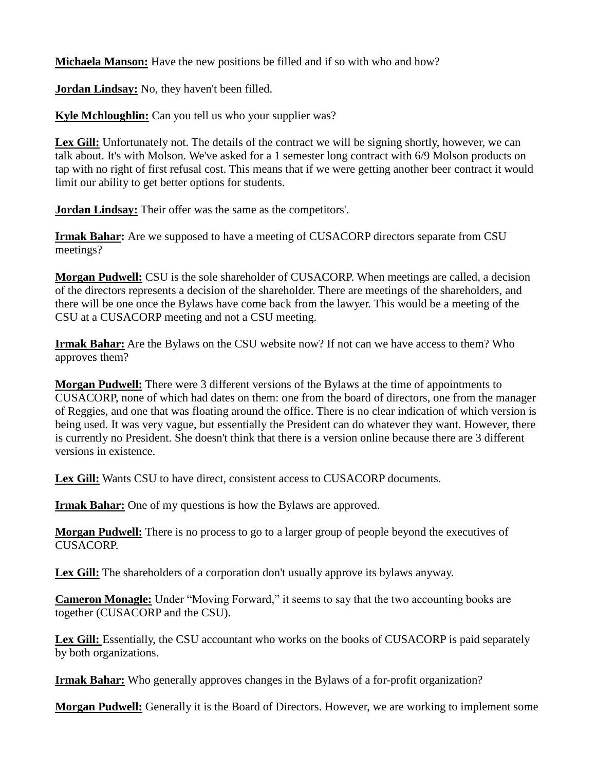**Michaela Manson:** Have the new positions be filled and if so with who and how?

**Jordan Lindsay:** No, they haven't been filled.

**Kyle Mchloughlin:** Can you tell us who your supplier was?

Lex Gill: Unfortunately not. The details of the contract we will be signing shortly, however, we can talk about. It's with Molson. We've asked for a 1 semester long contract with 6/9 Molson products on tap with no right of first refusal cost. This means that if we were getting another beer contract it would limit our ability to get better options for students.

**Jordan Lindsay:** Their offer was the same as the competitors'.

**Irmak Bahar:** Are we supposed to have a meeting of CUSACORP directors separate from CSU meetings?

**Morgan Pudwell:** CSU is the sole shareholder of CUSACORP. When meetings are called, a decision of the directors represents a decision of the shareholder. There are meetings of the shareholders, and there will be one once the Bylaws have come back from the lawyer. This would be a meeting of the CSU at a CUSACORP meeting and not a CSU meeting.

**Irmak Bahar:** Are the Bylaws on the CSU website now? If not can we have access to them? Who approves them?

**Morgan Pudwell:** There were 3 different versions of the Bylaws at the time of appointments to CUSACORP, none of which had dates on them: one from the board of directors, one from the manager of Reggies, and one that was floating around the office. There is no clear indication of which version is being used. It was very vague, but essentially the President can do whatever they want. However, there is currently no President. She doesn't think that there is a version online because there are 3 different versions in existence.

**Lex Gill:** Wants CSU to have direct, consistent access to CUSACORP documents.

**Irmak Bahar:** One of my questions is how the Bylaws are approved.

**Morgan Pudwell:** There is no process to go to a larger group of people beyond the executives of CUSACORP.

Lex Gill: The shareholders of a corporation don't usually approve its bylaws anyway.

**Cameron Monagle:** Under "Moving Forward," it seems to say that the two accounting books are together (CUSACORP and the CSU).

Lex Gill: Essentially, the CSU accountant who works on the books of CUSACORP is paid separately by both organizations.

**Irmak Bahar:** Who generally approves changes in the Bylaws of a for-profit organization?

**Morgan Pudwell:** Generally it is the Board of Directors. However, we are working to implement some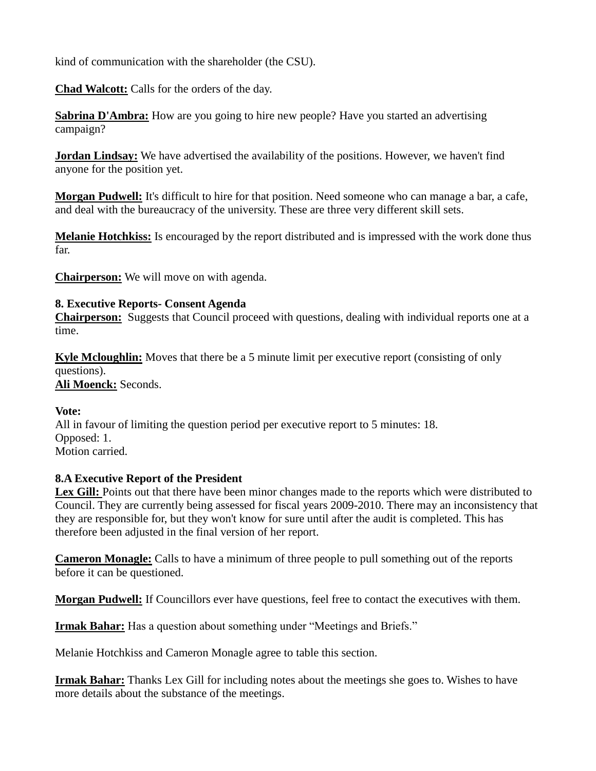kind of communication with the shareholder (the CSU).

**Chad Walcott:** Calls for the orders of the day.

**Sabrina D'Ambra:** How are you going to hire new people? Have you started an advertising campaign?

**Jordan Lindsay:** We have advertised the availability of the positions. However, we haven't find anyone for the position yet.

**Morgan Pudwell:** It's difficult to hire for that position. Need someone who can manage a bar, a cafe, and deal with the bureaucracy of the university. These are three very different skill sets.

**Melanie Hotchkiss:** Is encouraged by the report distributed and is impressed with the work done thus far.

**Chairperson:** We will move on with agenda.

## **8. Executive Reports- Consent Agenda**

**Chairperson:** Suggests that Council proceed with questions, dealing with individual reports one at a time.

**Kyle Mcloughlin:** Moves that there be a 5 minute limit per executive report (consisting of only questions). **Ali Moenck:** Seconds.

## **Vote:**

All in favour of limiting the question period per executive report to 5 minutes: 18. Opposed: 1. Motion carried.

# **8.A Executive Report of the President**

Lex Gill: Points out that there have been minor changes made to the reports which were distributed to Council. They are currently being assessed for fiscal years 2009-2010. There may an inconsistency that they are responsible for, but they won't know for sure until after the audit is completed. This has therefore been adjusted in the final version of her report.

**Cameron Monagle:** Calls to have a minimum of three people to pull something out of the reports before it can be questioned.

**Morgan Pudwell:** If Councillors ever have questions, feel free to contact the executives with them.

**Irmak Bahar:** Has a question about something under "Meetings and Briefs."

Melanie Hotchkiss and Cameron Monagle agree to table this section.

**Irmak Bahar:** Thanks Lex Gill for including notes about the meetings she goes to. Wishes to have more details about the substance of the meetings.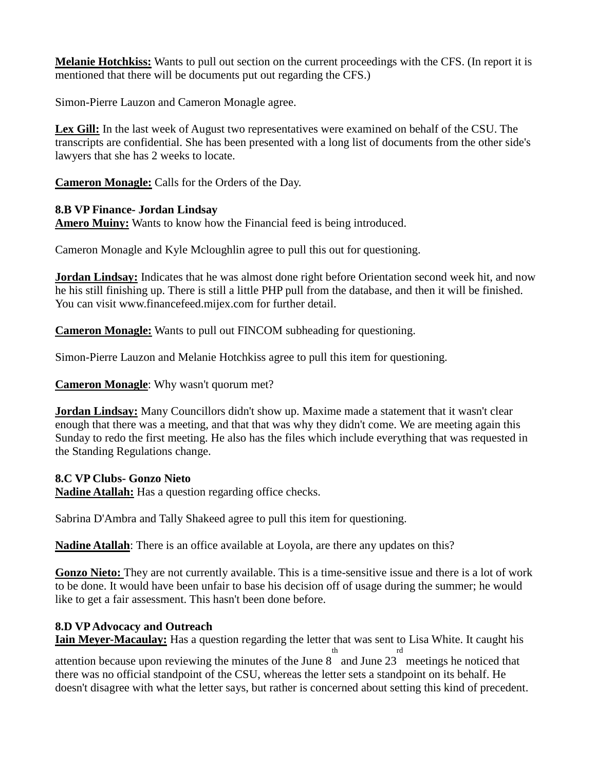**Melanie Hotchkiss:** Wants to pull out section on the current proceedings with the CFS. (In report it is mentioned that there will be documents put out regarding the CFS.)

Simon-Pierre Lauzon and Cameron Monagle agree.

**Lex Gill:** In the last week of August two representatives were examined on behalf of the CSU. The transcripts are confidential. She has been presented with a long list of documents from the other side's lawyers that she has 2 weeks to locate.

**Cameron Monagle:** Calls for the Orders of the Day.

#### **8.B VP Finance- Jordan Lindsay**

**Amero Muiny:** Wants to know how the Financial feed is being introduced.

Cameron Monagle and Kyle Mcloughlin agree to pull this out for questioning.

**Jordan Lindsay:** Indicates that he was almost done right before Orientation second week hit, and now he his still finishing up. There is still a little PHP pull from the database, and then it will be finished. You can visit www.financefeed.mijex.com for further detail.

**Cameron Monagle:** Wants to pull out FINCOM subheading for questioning.

Simon-Pierre Lauzon and Melanie Hotchkiss agree to pull this item for questioning.

**Cameron Monagle**: Why wasn't quorum met?

**Jordan Lindsay:** Many Councillors didn't show up. Maxime made a statement that it wasn't clear enough that there was a meeting, and that that was why they didn't come. We are meeting again this Sunday to redo the first meeting. He also has the files which include everything that was requested in the Standing Regulations change.

#### **8.C VP Clubs- Gonzo Nieto**

**Nadine Atallah:** Has a question regarding office checks.

Sabrina D'Ambra and Tally Shakeed agree to pull this item for questioning.

**Nadine Atallah**: There is an office available at Loyola, are there any updates on this?

Gonzo Nieto: They are not currently available. This is a time-sensitive issue and there is a lot of work to be done. It would have been unfair to base his decision off of usage during the summer; he would like to get a fair assessment. This hasn't been done before.

## **8.D VP Advocacy and Outreach**

**Iain Meyer-Macaulay:** Has a question regarding the letter that was sent to Lisa White. It caught his th rd

attention because upon reviewing the minutes of the June 8 and June 23 meetings he noticed that there was no official standpoint of the CSU, whereas the letter sets a standpoint on its behalf. He doesn't disagree with what the letter says, but rather is concerned about setting this kind of precedent.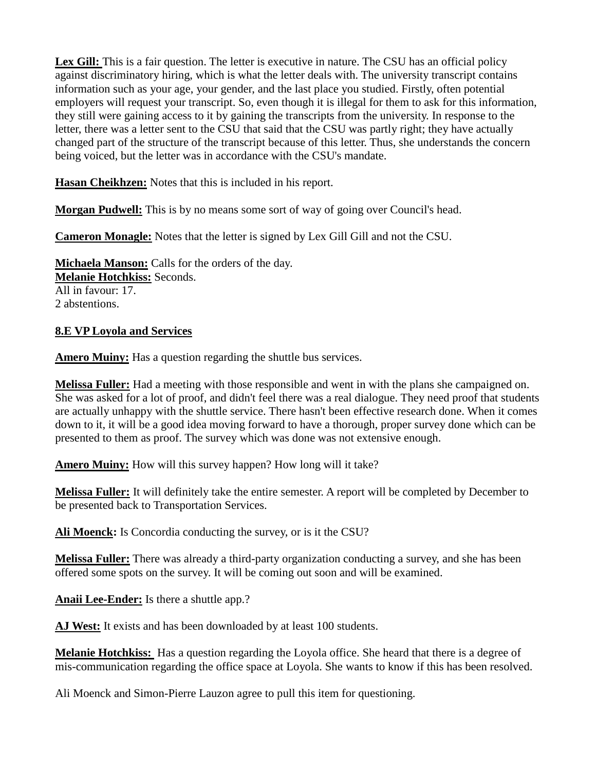Lex Gill: This is a fair question. The letter is executive in nature. The CSU has an official policy against discriminatory hiring, which is what the letter deals with. The university transcript contains information such as your age, your gender, and the last place you studied. Firstly, often potential employers will request your transcript. So, even though it is illegal for them to ask for this information, they still were gaining access to it by gaining the transcripts from the university. In response to the letter, there was a letter sent to the CSU that said that the CSU was partly right; they have actually changed part of the structure of the transcript because of this letter. Thus, she understands the concern being voiced, but the letter was in accordance with the CSU's mandate.

**Hasan Cheikhzen:** Notes that this is included in his report.

**Morgan Pudwell:** This is by no means some sort of way of going over Council's head.

**Cameron Monagle:** Notes that the letter is signed by Lex Gill Gill and not the CSU.

**Michaela Manson:** Calls for the orders of the day. **Melanie Hotchkiss:** Seconds. All in favour: 17. 2 abstentions.

## **8.E VP Loyola and Services**

**Amero Muiny:** Has a question regarding the shuttle bus services.

**Melissa Fuller:** Had a meeting with those responsible and went in with the plans she campaigned on. She was asked for a lot of proof, and didn't feel there was a real dialogue. They need proof that students are actually unhappy with the shuttle service. There hasn't been effective research done. When it comes down to it, it will be a good idea moving forward to have a thorough, proper survey done which can be presented to them as proof. The survey which was done was not extensive enough.

**Amero Muiny:** How will this survey happen? How long will it take?

**Melissa Fuller:** It will definitely take the entire semester. A report will be completed by December to be presented back to Transportation Services.

**Ali Moenck:** Is Concordia conducting the survey, or is it the CSU?

**Melissa Fuller:** There was already a third-party organization conducting a survey, and she has been offered some spots on the survey. It will be coming out soon and will be examined.

**Anaii Lee-Ender:** Is there a shuttle app.?

AJ West: It exists and has been downloaded by at least 100 students.

**Melanie Hotchkiss:** Has a question regarding the Loyola office. She heard that there is a degree of mis-communication regarding the office space at Loyola. She wants to know if this has been resolved.

Ali Moenck and Simon-Pierre Lauzon agree to pull this item for questioning.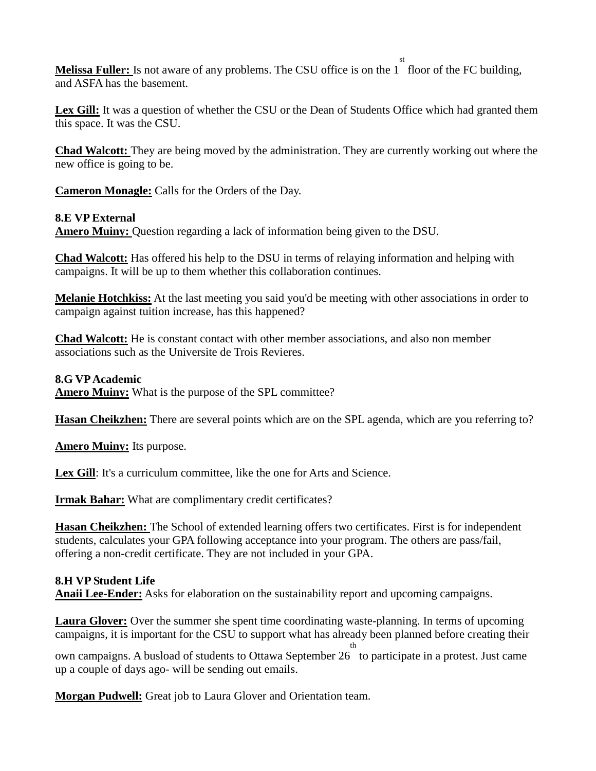**Melissa Fuller:** Is not aware of any problems. The CSU office is on the 1 st floor of the FC building, and ASFA has the basement.

**Lex Gill:** It was a question of whether the CSU or the Dean of Students Office which had granted them this space. It was the CSU.

**Chad Walcott:** They are being moved by the administration. They are currently working out where the new office is going to be.

**Cameron Monagle:** Calls for the Orders of the Day.

## **8.E VP External**

**Amero Muiny:** Question regarding a lack of information being given to the DSU.

**Chad Walcott:** Has offered his help to the DSU in terms of relaying information and helping with campaigns. It will be up to them whether this collaboration continues.

**Melanie Hotchkiss:** At the last meeting you said you'd be meeting with other associations in order to campaign against tuition increase, has this happened?

**Chad Walcott:** He is constant contact with other member associations, and also non member associations such as the Universite de Trois Revieres.

## **8.G VP Academic**

**Amero Muiny:** What is the purpose of the SPL committee?

**Hasan Cheikzhen:** There are several points which are on the SPL agenda, which are you referring to?

**Amero Muiny:** Its purpose.

Lex Gill: It's a curriculum committee, like the one for Arts and Science.

**Irmak Bahar:** What are complimentary credit certificates?

**Hasan Cheikzhen:** The School of extended learning offers two certificates. First is for independent students, calculates your GPA following acceptance into your program. The others are pass/fail, offering a non-credit certificate. They are not included in your GPA.

# **8.H VP Student Life**

**Anaii Lee-Ender:** Asks for elaboration on the sustainability report and upcoming campaigns.

**Laura Glover:** Over the summer she spent time coordinating waste-planning. In terms of upcoming campaigns, it is important for the CSU to support what has already been planned before creating their

own campaigns. A busload of students to Ottawa September 26 to participate in a protest. Just came th up a couple of days ago- will be sending out emails.

**Morgan Pudwell:** Great job to Laura Glover and Orientation team.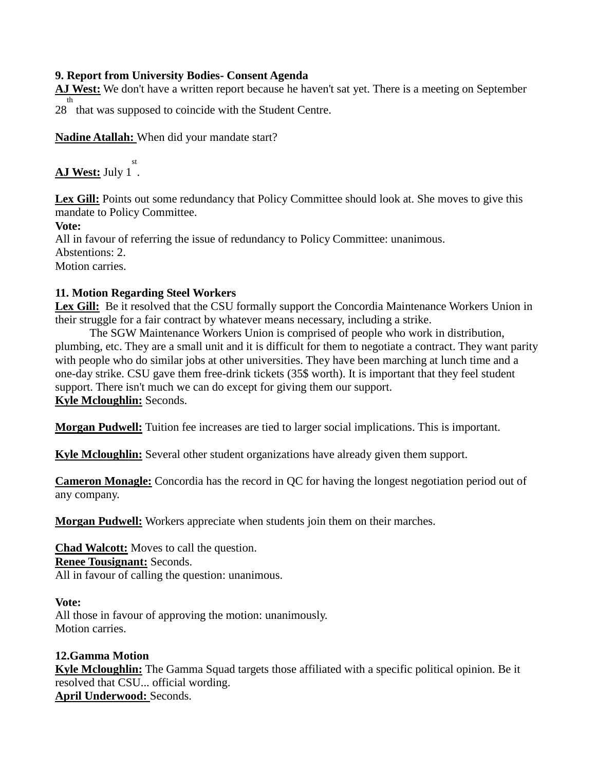## **9. Report from University Bodies- Consent Agenda**

**AJ West:** We don't have a written report because he haven't sat yet. There is a meeting on September 28 that was supposed to coincide with the Student Centre. th

**Nadine Atallah:** When did your mandate start?

**AJ West:** July 1 . st

Lex Gill: Points out some redundancy that Policy Committee should look at. She moves to give this mandate to Policy Committee.

**Vote:**

All in favour of referring the issue of redundancy to Policy Committee: unanimous. Abstentions: 2. Motion carries.

## **11. Motion Regarding Steel Workers**

**Lex Gill:** Be it resolved that the CSU formally support the Concordia Maintenance Workers Union in their struggle for a fair contract by whatever means necessary, including a strike.

The SGW Maintenance Workers Union is comprised of people who work in distribution, plumbing, etc. They are a small unit and it is difficult for them to negotiate a contract. They want parity with people who do similar jobs at other universities. They have been marching at lunch time and a one-day strike. CSU gave them free-drink tickets (35\$ worth). It is important that they feel student support. There isn't much we can do except for giving them our support. **Kyle Mcloughlin:** Seconds.

**Morgan Pudwell:** Tuition fee increases are tied to larger social implications. This is important.

**Kyle Mcloughlin:** Several other student organizations have already given them support.

**Cameron Monagle:** Concordia has the record in QC for having the longest negotiation period out of any company.

**Morgan Pudwell:** Workers appreciate when students join them on their marches.

**Chad Walcott:** Moves to call the question. **Renee Tousignant:** Seconds. All in favour of calling the question: unanimous.

## **Vote:**

All those in favour of approving the motion: unanimously. Motion carries.

# **12.Gamma Motion**

**Kyle Mcloughlin:** The Gamma Squad targets those affiliated with a specific political opinion. Be it resolved that CSU... official wording. **April Underwood:** Seconds.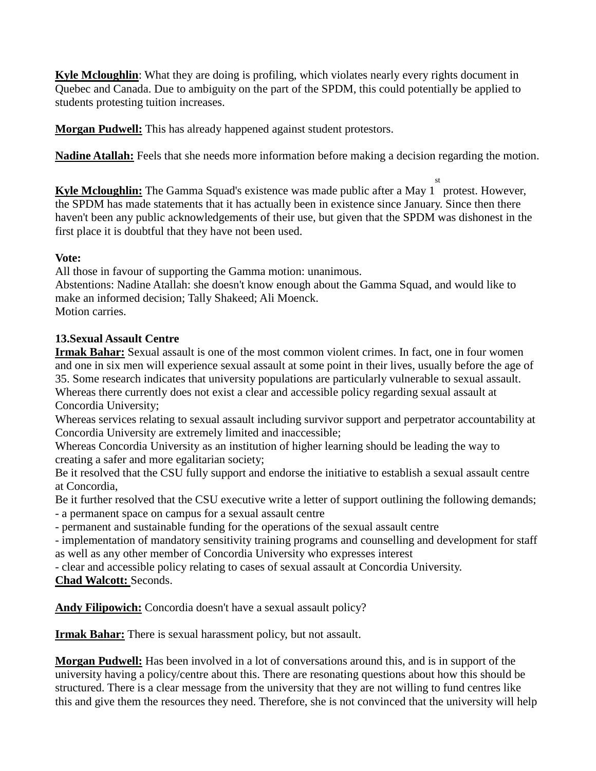**Kyle Mcloughlin**: What they are doing is profiling, which violates nearly every rights document in Quebec and Canada. Due to ambiguity on the part of the SPDM, this could potentially be applied to students protesting tuition increases.

**Morgan Pudwell:** This has already happened against student protestors.

**Nadine Atallah:** Feels that she needs more information before making a decision regarding the motion.

Kyle Mcloughlin: The Gamma Squad's existence was made public after a May 1 protest. However, st the SPDM has made statements that it has actually been in existence since January. Since then there haven't been any public acknowledgements of their use, but given that the SPDM was dishonest in the first place it is doubtful that they have not been used.

## **Vote:**

All those in favour of supporting the Gamma motion: unanimous. Abstentions: Nadine Atallah: she doesn't know enough about the Gamma Squad, and would like to make an informed decision; Tally Shakeed; Ali Moenck. Motion carries.

## **13.Sexual Assault Centre**

**Irmak Bahar:** Sexual assault is one of the most common violent crimes. In fact, one in four women and one in six men will experience sexual assault at some point in their lives, usually before the age of 35. Some research indicates that university populations are particularly vulnerable to sexual assault. Whereas there currently does not exist a clear and accessible policy regarding sexual assault at Concordia University;

Whereas services relating to sexual assault including survivor support and perpetrator accountability at Concordia University are extremely limited and inaccessible;

Whereas Concordia University as an institution of higher learning should be leading the way to creating a safer and more egalitarian society;

Be it resolved that the CSU fully support and endorse the initiative to establish a sexual assault centre at Concordia,

Be it further resolved that the CSU executive write a letter of support outlining the following demands; - a permanent space on campus for a sexual assault centre

- permanent and sustainable funding for the operations of the sexual assault centre

- implementation of mandatory sensitivity training programs and counselling and development for staff as well as any other member of Concordia University who expresses interest

- clear and accessible policy relating to cases of sexual assault at Concordia University. **Chad Walcott:** Seconds.

**Andy Filipowich:** Concordia doesn't have a sexual assault policy?

**Irmak Bahar:** There is sexual harassment policy, but not assault.

**Morgan Pudwell:** Has been involved in a lot of conversations around this, and is in support of the university having a policy/centre about this. There are resonating questions about how this should be structured. There is a clear message from the university that they are not willing to fund centres like this and give them the resources they need. Therefore, she is not convinced that the university will help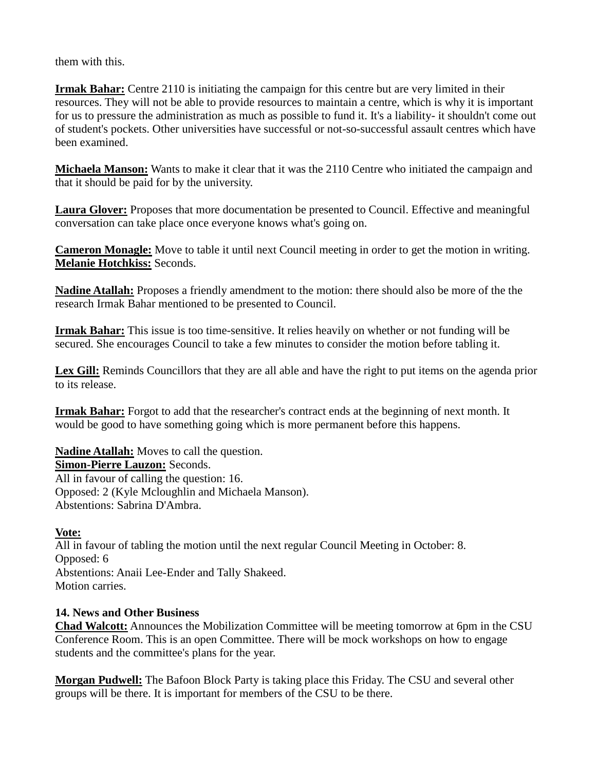them with this.

**Irmak Bahar:** Centre 2110 is initiating the campaign for this centre but are very limited in their resources. They will not be able to provide resources to maintain a centre, which is why it is important for us to pressure the administration as much as possible to fund it. It's a liability- it shouldn't come out of student's pockets. Other universities have successful or not-so-successful assault centres which have been examined.

**Michaela Manson:** Wants to make it clear that it was the 2110 Centre who initiated the campaign and that it should be paid for by the university.

**Laura Glover:** Proposes that more documentation be presented to Council. Effective and meaningful conversation can take place once everyone knows what's going on.

**Cameron Monagle:** Move to table it until next Council meeting in order to get the motion in writing. **Melanie Hotchkiss:** Seconds.

**Nadine Atallah:** Proposes a friendly amendment to the motion: there should also be more of the the research Irmak Bahar mentioned to be presented to Council.

**Irmak Bahar:** This issue is too time-sensitive. It relies heavily on whether or not funding will be secured. She encourages Council to take a few minutes to consider the motion before tabling it.

**Lex Gill:** Reminds Councillors that they are all able and have the right to put items on the agenda prior to its release.

**Irmak Bahar:** Forgot to add that the researcher's contract ends at the beginning of next month. It would be good to have something going which is more permanent before this happens.

**Nadine Atallah:** Moves to call the question. **Simon-Pierre Lauzon:** Seconds. All in favour of calling the question: 16. Opposed: 2 (Kyle Mcloughlin and Michaela Manson). Abstentions: Sabrina D'Ambra.

## **Vote:**

All in favour of tabling the motion until the next regular Council Meeting in October: 8. Opposed: 6 Abstentions: Anaii Lee-Ender and Tally Shakeed. Motion carries.

## **14. News and Other Business**

**Chad Walcott:** Announces the Mobilization Committee will be meeting tomorrow at 6pm in the CSU Conference Room. This is an open Committee. There will be mock workshops on how to engage students and the committee's plans for the year.

**Morgan Pudwell:** The Bafoon Block Party is taking place this Friday. The CSU and several other groups will be there. It is important for members of the CSU to be there.